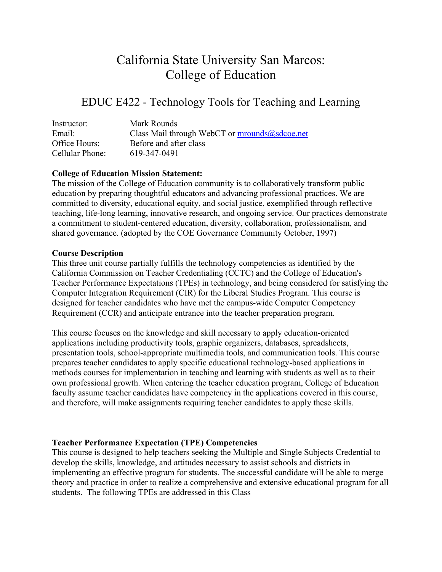# California State University San Marcos: College of Education

# EDUC E422 - Technology Tools for Teaching and Learning

| Instructor:     | Mark Rounds                                   |
|-----------------|-----------------------------------------------|
| Email:          | Class Mail through WebCT or mrounds@sdcoe.net |
| Office Hours:   | Before and after class                        |
| Cellular Phone: | 619-347-0491                                  |

#### **College of Education Mission Statement:**

The mission of the College of Education community is to collaboratively transform public education by preparing thoughtful educators and advancing professional practices. We are committed to diversity, educational equity, and social justice, exemplified through reflective teaching, life-long learning, innovative research, and ongoing service. Our practices demonstrate a commitment to student-centered education, diversity, collaboration, professionalism, and shared governance. (adopted by the COE Governance Community October, 1997)

#### **Course Description**

This three unit course partially fulfills the technology competencies as identified by the California Commission on Teacher Credentialing (CCTC) and the College of Education's Teacher Performance Expectations (TPEs) in technology, and being considered for satisfying the Computer Integration Requirement (CIR) for the Liberal Studies Program. This course is designed for teacher candidates who have met the campus-wide Computer Competency Requirement (CCR) and anticipate entrance into the teacher preparation program.

This course focuses on the knowledge and skill necessary to apply education-oriented applications including productivity tools, graphic organizers, databases, spreadsheets, presentation tools, school-appropriate multimedia tools, and communication tools. This course prepares teacher candidates to apply specific educational technology-based applications in methods courses for implementation in teaching and learning with students as well as to their own professional growth. When entering the teacher education program, College of Education faculty assume teacher candidates have competency in the applications covered in this course, and therefore, will make assignments requiring teacher candidates to apply these skills.

### **Teacher Performance Expectation (TPE) Competencies**

This course is designed to help teachers seeking the Multiple and Single Subjects Credential to develop the skills, knowledge, and attitudes necessary to assist schools and districts in implementing an effective program for students. The successful candidate will be able to merge theory and practice in order to realize a comprehensive and extensive educational program for all students. The following TPEs are addressed in this Class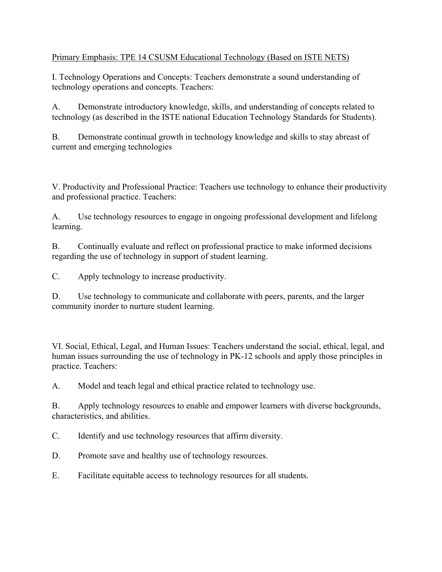# Primary Emphasis: TPE 14 CSUSM Educational Technology (Based on ISTE NETS)

I. Technology Operations and Concepts: Teachers demonstrate a sound understanding of technology operations and concepts. Teachers:

A. Demonstrate introductory knowledge, skills, and understanding of concepts related to technology (as described in the ISTE national Education Technology Standards for Students).

B. Demonstrate continual growth in technology knowledge and skills to stay abreast of current and emerging technologies

V. Productivity and Professional Practice: Teachers use technology to enhance their productivity and professional practice. Teachers:

A. Use technology resources to engage in ongoing professional development and lifelong learning.

B. Continually evaluate and reflect on professional practice to make informed decisions regarding the use of technology in support of student learning.

C. Apply technology to increase productivity.

D. Use technology to communicate and collaborate with peers, parents, and the larger community inorder to nurture student learning.

VI. Social, Ethical, Legal, and Human Issues: Teachers understand the social, ethical, legal, and human issues surrounding the use of technology in PK-12 schools and apply those principles in practice. Teachers:

A. Model and teach legal and ethical practice related to technology use.

B. Apply technology resources to enable and empower learners with diverse backgrounds, characteristics, and abilities.

C. Identify and use technology resources that affirm diversity.

D. Promote save and healthy use of technology resources.

E. Facilitate equitable access to technology resources for all students.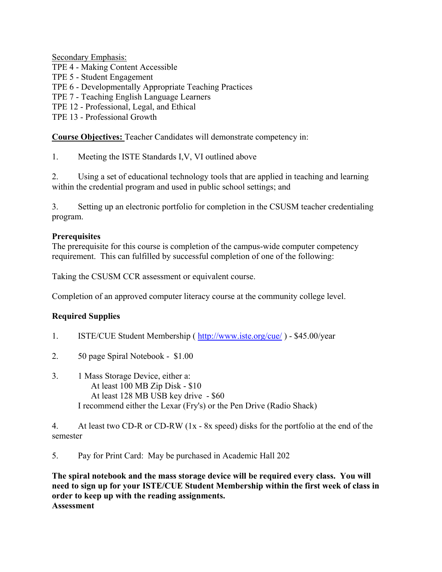Secondary Emphasis:

TPE 4 - Making Content Accessible

TPE 5 - Student Engagement

TPE 6 - Developmentally Appropriate Teaching Practices

TPE 7 - Teaching English Language Learners

TPE 12 - Professional, Legal, and Ethical

TPE 13 - Professional Growth

**Course Objectives:** Teacher Candidates will demonstrate competency in:

1. Meeting the ISTE Standards I,V, VI outlined above

2. Using a set of educational technology tools that are applied in teaching and learning within the credential program and used in public school settings; and

3. Setting up an electronic portfolio for completion in the CSUSM teacher credentialing program.

# **Prerequisites**

The prerequisite for this course is completion of the campus-wide computer competency requirement. This can fulfilled by successful completion of one of the following:

Taking the CSUSM CCR assessment or equivalent course.

Completion of an approved computer literacy course at the community college level.

# **Required Supplies**

- 1. ISTE/CUE Student Membership ( http://www.iste.org/cue/ ) \$45.00/year
- 2. 50 page Spiral Notebook \$1.00
- 3. 1 Mass Storage Device, either a: At least 100 MB Zip Disk - \$10 At least 128 MB USB key drive - \$60 I recommend either the Lexar (Fry's) or the Pen Drive (Radio Shack)

4. At least two CD-R or CD-RW (1x - 8x speed) disks for the portfolio at the end of the semester

5. Pay for Print Card: May be purchased in Academic Hall 202

**The spiral notebook and the mass storage device will be required every class. You will need to sign up for your ISTE/CUE Student Membership within the first week of class in order to keep up with the reading assignments. Assessment**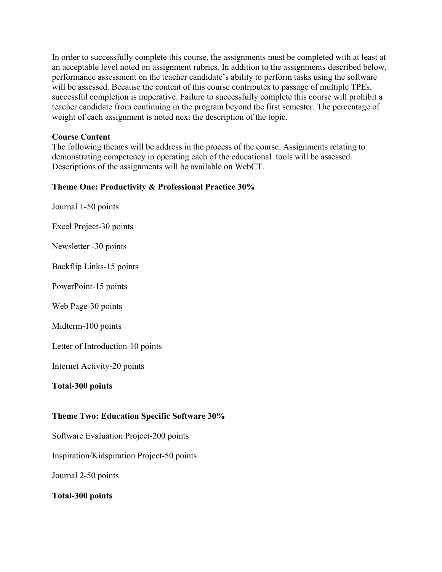In order to successfully complete this course, the assignments must be completed with at least at an acceptable level noted on assignment rubrics. In addition to the assignments described below, performance assessment on the teacher candidate's ability to perform tasks using the software will be assessed. Because the content of this course contributes to passage of multiple TPEs, successful completion is imperative. Failure to successfully complete this course will prohibit a teacher candidate from continuing in the program beyond the first semester. The percentage of weight of each assignment is noted next the description of the topic.

#### **Course Content**

The following themes will be address in the process of the course. Assignments relating to demonstrating competency in operating each of the educational tools will be assessed. Descriptions of the assignments will be available on WebCT.

#### **Theme One: Productivity & Professional Practice 30%**

Journal 1-50 points

Excel Project-30 points

Newsletter -30 points

Backflip Links-15 points

PowerPoint-15 points

Web Page-30 points

Midterm-100 points

Letter of Introduction-10 points

Internet Activity-20 points

#### **Total-300 points**

#### **Theme Two: Education Specific Software 30%**

Software Evaluation Project-200 points

Inspiration/Kidspiration Project-50 points

Journal 2-50 points

**Total-300 points**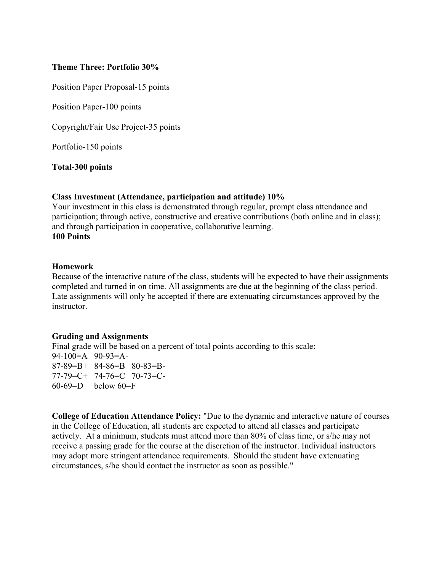#### **Theme Three: Portfolio 30%**

Position Paper Proposal-15 points

Position Paper-100 points

Copyright/Fair Use Project-35 points

Portfolio-150 points

**Total-300 points** 

#### **Class Investment (Attendance, participation and attitude) 10%**

Your investment in this class is demonstrated through regular, prompt class attendance and participation; through active, constructive and creative contributions (both online and in class); and through participation in cooperative, collaborative learning. **100 Points**

#### **Homework**

Because of the interactive nature of the class, students will be expected to have their assignments completed and turned in on time. All assignments are due at the beginning of the class period. Late assignments will only be accepted if there are extenuating circumstances approved by the instructor.

#### **Grading and Assignments**

Final grade will be based on a percent of total points according to this scale: 94-100=A 90-93=A-87-89=B+ 84-86=B 80-83=B-77-79=C+ 74-76=C 70-73=C- $60-69=$ D below  $60=$ F

**College of Education Attendance Policy:** "Due to the dynamic and interactive nature of courses in the College of Education, all students are expected to attend all classes and participate actively. At a minimum, students must attend more than 80% of class time, or s/he may not receive a passing grade for the course at the discretion of the instructor. Individual instructors may adopt more stringent attendance requirements. Should the student have extenuating circumstances, s/he should contact the instructor as soon as possible."